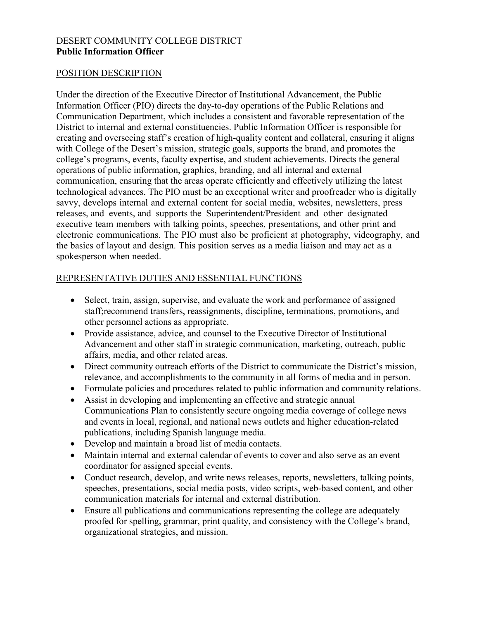### DESERT COMMUNITY COLLEGE DISTRICT **Public Information Officer**

## POSITION DESCRIPTION

Under the direction of the Executive Director of Institutional Advancement, the Public Information Officer (PIO) directs the day-to-day operations of the Public Relations and Communication Department, which includes a consistent and favorable representation of the District to internal and external constituencies. Public Information Officer is responsible for creating and overseeing staff's creation of high-quality content and collateral, ensuring it aligns with College of the Desert's mission, strategic goals, supports the brand, and promotes the college's programs, events, faculty expertise, and student achievements. Directs the general operations of public information, graphics, branding, and all internal and external communication, ensuring that the areas operate efficiently and effectively utilizing the latest technological advances. The PIO must be an exceptional writer and proofreader who is digitally savvy, develops internal and external content for social media, websites, newsletters, press releases, and events, and supports the Superintendent/President and other designated executive team members with talking points, speeches, presentations, and other print and electronic communications. The PIO must also be proficient at photography, videography, and the basics of layout and design. This position serves as a media liaison and may act as a spokesperson when needed.

# REPRESENTATIVE DUTIES AND ESSENTIAL FUNCTIONS

- Select, train, assign, supervise, and evaluate the work and performance of assigned staff;recommend transfers, reassignments, discipline, terminations, promotions, and other personnel actions as appropriate.
- Provide assistance, advice, and counsel to the Executive Director of Institutional Advancement and other staff in strategic communication, marketing, outreach, public affairs, media, and other related areas.
- Direct community outreach efforts of the District to communicate the District's mission, relevance, and accomplishments to the community in all forms of media and in person.
- Formulate policies and procedures related to public information and community relations.
- Assist in developing and implementing an effective and strategic annual Communications Plan to consistently secure ongoing media coverage of college news and events in local, regional, and national news outlets and higher education-related publications, including Spanish language media.
- Develop and maintain a broad list of media contacts.
- Maintain internal and external calendar of events to cover and also serve as an event coordinator for assigned special events.
- Conduct research, develop, and write news releases, reports, newsletters, talking points, speeches, presentations, social media posts, video scripts, web-based content, and other communication materials for internal and external distribution.
- Ensure all publications and communications representing the college are adequately proofed for spelling, grammar, print quality, and consistency with the College's brand, organizational strategies, and mission.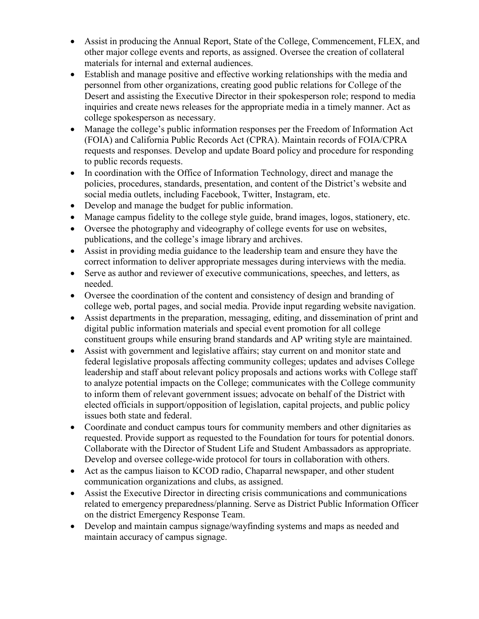- Assist in producing the Annual Report, State of the College, Commencement, FLEX, and other major college events and reports, as assigned. Oversee the creation of collateral materials for internal and external audiences.
- Establish and manage positive and effective working relationships with the media and personnel from other organizations, creating good public relations for College of the Desert and assisting the Executive Director in their spokesperson role; respond to media inquiries and create news releases for the appropriate media in a timely manner. Act as college spokesperson as necessary.
- Manage the college's public information responses per the Freedom of Information Act (FOIA) and California Public Records Act (CPRA). Maintain records of FOIA/CPRA requests and responses. Develop and update Board policy and procedure for responding to public records requests.
- In coordination with the Office of Information Technology, direct and manage the policies, procedures, standards, presentation, and content of the District's website and social media outlets, including Facebook, Twitter, Instagram, etc.
- Develop and manage the budget for public information.
- Manage campus fidelity to the college style guide, brand images, logos, stationery, etc.
- Oversee the photography and videography of college events for use on websites, publications, and the college's image library and archives.
- Assist in providing media guidance to the leadership team and ensure they have the correct information to deliver appropriate messages during interviews with the media.
- Serve as author and reviewer of executive communications, speeches, and letters, as needed.
- Oversee the coordination of the content and consistency of design and branding of college web, portal pages, and social media. Provide input regarding website navigation.
- Assist departments in the preparation, messaging, editing, and dissemination of print and digital public information materials and special event promotion for all college constituent groups while ensuring brand standards and AP writing style are maintained.
- Assist with government and legislative affairs; stay current on and monitor state and federal legislative proposals affecting community colleges; updates and advises College leadership and staff about relevant policy proposals and actions works with College staff to analyze potential impacts on the College; communicates with the College community to inform them of relevant government issues; advocate on behalf of the District with elected officials in support/opposition of legislation, capital projects, and public policy issues both state and federal.
- Coordinate and conduct campus tours for community members and other dignitaries as requested. Provide support as requested to the Foundation for tours for potential donors. Collaborate with the Director of Student Life and Student Ambassadors as appropriate. Develop and oversee college-wide protocol for tours in collaboration with others.
- Act as the campus liaison to KCOD radio, Chaparral newspaper, and other student communication organizations and clubs, as assigned.
- Assist the Executive Director in directing crisis communications and communications related to emergency preparedness/planning. Serve as District Public Information Officer on the district Emergency Response Team.
- Develop and maintain campus signage/wayfinding systems and maps as needed and maintain accuracy of campus signage.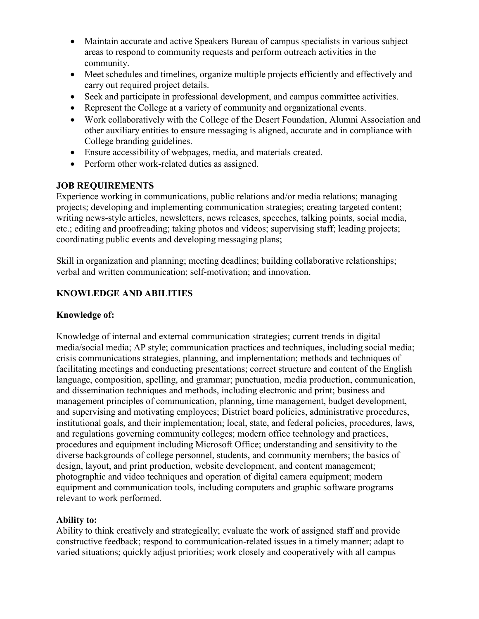- Maintain accurate and active Speakers Bureau of campus specialists in various subject areas to respond to community requests and perform outreach activities in the community.
- Meet schedules and timelines, organize multiple projects efficiently and effectively and carry out required project details.
- Seek and participate in professional development, and campus committee activities.
- Represent the College at a variety of community and organizational events.
- Work collaboratively with the College of the Desert Foundation, Alumni Association and other auxiliary entities to ensure messaging is aligned, accurate and in compliance with College branding guidelines.
- Ensure accessibility of webpages, media, and materials created.
- Perform other work-related duties as assigned.

## **JOB REQUIREMENTS**

Experience working in communications, public relations and/or media relations; managing projects; developing and implementing communication strategies; creating targeted content; writing news-style articles, newsletters, news releases, speeches, talking points, social media, etc.; editing and proofreading; taking photos and videos; supervising staff; leading projects; coordinating public events and developing messaging plans;

Skill in organization and planning; meeting deadlines; building collaborative relationships; verbal and written communication; self-motivation; and innovation.

# **KNOWLEDGE AND ABILITIES**

### **Knowledge of:**

Knowledge of internal and external communication strategies; current trends in digital media/social media; AP style; communication practices and techniques, including social media; crisis communications strategies, planning, and implementation; methods and techniques of facilitating meetings and conducting presentations; correct structure and content of the English language, composition, spelling, and grammar; punctuation, media production, communication, and dissemination techniques and methods, including electronic and print; business and management principles of communication, planning, time management, budget development, and supervising and motivating employees; District board policies, administrative procedures, institutional goals, and their implementation; local, state, and federal policies, procedures, laws, and regulations governing community colleges; modern office technology and practices, procedures and equipment including Microsoft Office; understanding and sensitivity to the diverse backgrounds of college personnel, students, and community members; the basics of design, layout, and print production, website development, and content management; photographic and video techniques and operation of digital camera equipment; modern equipment and communication tools, including computers and graphic software programs relevant to work performed.

### **Ability to:**

Ability to think creatively and strategically; evaluate the work of assigned staff and provide constructive feedback; respond to communication-related issues in a timely manner; adapt to varied situations; quickly adjust priorities; work closely and cooperatively with all campus